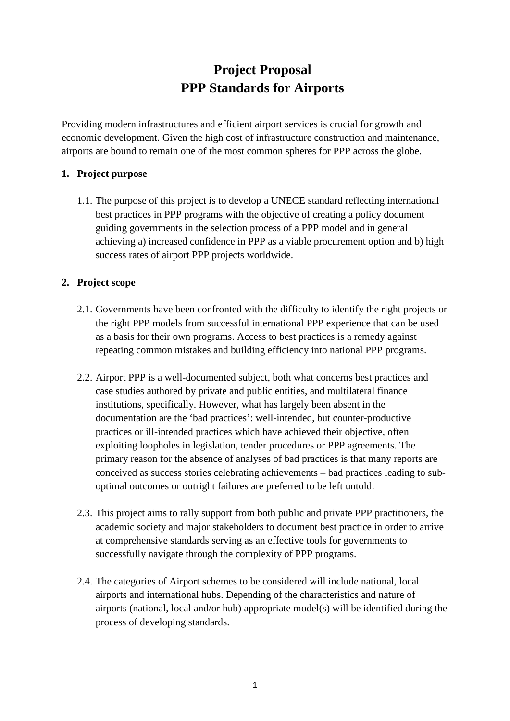# **Project Proposal PPP Standards for Airports**

Providing modern infrastructures and efficient airport services is crucial for growth and economic development. Given the high cost of infrastructure construction and maintenance, airports are bound to remain one of the most common spheres for PPP across the globe.

#### **1. Project purpose**

1.1. The purpose of this project is to develop a UNECE standard reflecting international best practices in PPP programs with the objective of creating a policy document guiding governments in the selection process of a PPP model and in general achieving a) increased confidence in PPP as a viable procurement option and b) high success rates of airport PPP projects worldwide.

#### **2. Project scope**

- 2.1. Governments have been confronted with the difficulty to identify the right projects or the right PPP models from successful international PPP experience that can be used as a basis for their own programs. Access to best practices is a remedy against repeating common mistakes and building efficiency into national PPP programs.
- 2.2. Airport PPP is a well-documented subject, both what concerns best practices and case studies authored by private and public entities, and multilateral finance institutions, specifically. However, what has largely been absent in the documentation are the 'bad practices': well-intended, but counter-productive practices or ill-intended practices which have achieved their objective, often exploiting loopholes in legislation, tender procedures or PPP agreements. The primary reason for the absence of analyses of bad practices is that many reports are conceived as success stories celebrating achievements – bad practices leading to suboptimal outcomes or outright failures are preferred to be left untold.
- 2.3. This project aims to rally support from both public and private PPP practitioners, the academic society and major stakeholders to document best practice in order to arrive at comprehensive standards serving as an effective tools for governments to successfully navigate through the complexity of PPP programs.
- 2.4. The categories of Airport schemes to be considered will include national, local airports and international hubs. Depending of the characteristics and nature of airports (national, local and/or hub) appropriate model(s) will be identified during the process of developing standards.